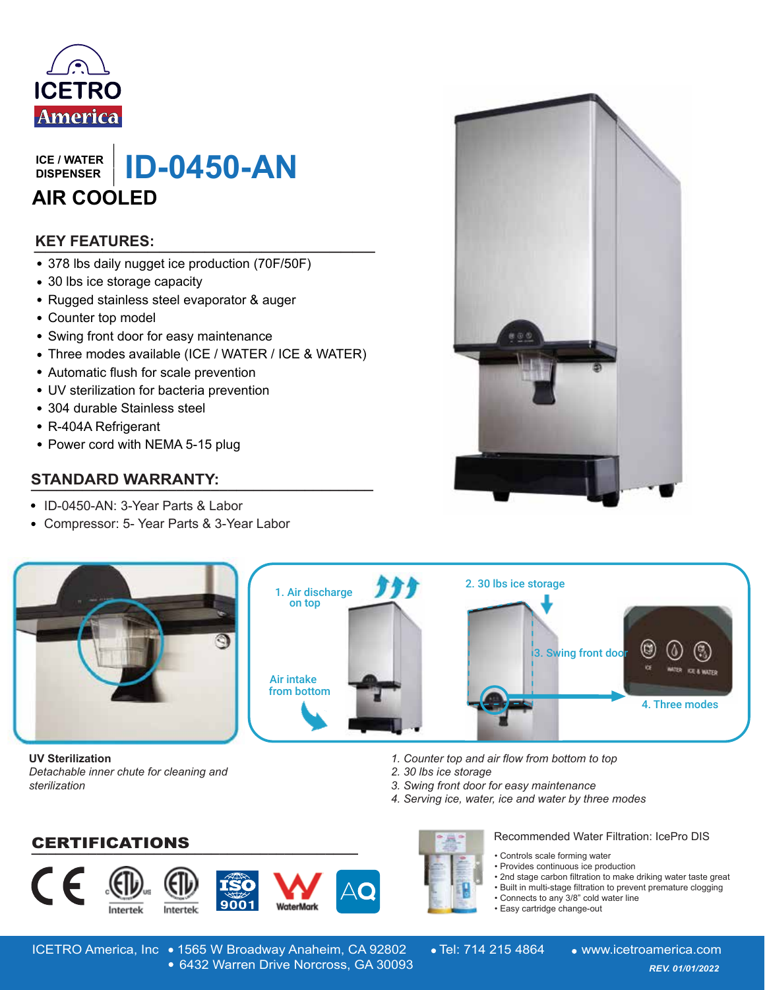

**DISPENSER**

LIGE / WATER | **ID-0450-AN ICE / WATER**<br>
DISPENSER<br> **AIR COOLED**<br> **KEY FEATURES:**<br>
• 378 lbs daily nugget ice production (70F/50F)<br>
• 30 lbs ice storage capacity<br>
• Rugged stainless steel evaporator & auger<br>
• Counter top model<br>
• Swing front door **AIR COOLED**

## **\_\_\_\_\_\_\_\_\_\_\_\_\_\_\_\_\_\_\_\_\_\_\_\_\_\_\_\_\_\_ KEY FEATURES:**

- 378 lbs daily nugget ice production (70F/50F)
- 30 lbs ice storage capacity
- Rugged stainless steel evaporator & auger
- Counter top model
- Swing front door for easy maintenance
- Three modes available (ICE / WATER / ICE & WATER)
- Automatic flush for scale prevention
- UV sterilization for bacteria prevention
- 304 durable Stainless steel
- R-404A Refrigerant
- Power cord with NEMA 5-15 plug

### **STANDARD WARRANTY:**

- ID-0450-AN: 3-Year Parts & Labor
- Compressor: 5- Year Parts & 3-Year Labor





**UV Sterilization** *Detachable inner chute for cleaning and sterilization*

**\_\_\_\_\_\_\_\_\_\_\_\_\_\_\_\_\_\_\_\_\_\_\_\_\_\_\_\_\_\_\_\_\_\_\_\_\_\_\_\_** CERTIFICATIONS









*2. 30 lbs ice storage*

Recommended Water Filtration: IcePro DIS

- Controls scale forming water
- Provides continuous ice production
- 2nd stage carbon filtration to make driking water taste great
- Built in multi-stage filtration to prevent premature clogging
- Connects to any 3/8" cold water line
- Easy cartridge change-out

ICETRO America, Inc • 1565 W Broadway Anaheim, CA 92802 • Tel: 714 215 4864 • www.icetroamerica.com 6432 Warren Drive Norcross, GA 30093 *REV. 01/01/2022* 6432 Warren Drive Norcross, GA 30093

*3. Swing front door for easy maintenance*

*4. Serving ice, water, ice and water by three modes*